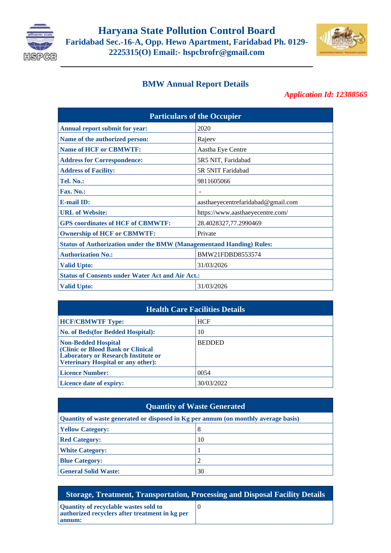

**\_\_\_\_\_\_\_\_\_\_\_\_\_\_\_\_\_\_\_\_\_\_\_\_\_\_\_\_\_\_\_\_\_\_\_\_\_\_\_\_\_\_\_\_\_\_\_\_**



## **BMW Annual Report Details**

## *Application Id: 12388565*

| <b>Particulars of the Occupier</b>                                          |                                    |  |
|-----------------------------------------------------------------------------|------------------------------------|--|
| Annual report submit for year:                                              | 2020                               |  |
| Name of the authorized person:                                              | Rajeev                             |  |
| <b>Name of HCF or CBMWTF:</b>                                               | Aastha Eye Centre                  |  |
| <b>Address for Correspondence:</b>                                          | 5R5 NIT, Faridabad                 |  |
| <b>Address of Facility:</b>                                                 | 5R 5NIT Faridabad                  |  |
| Tel. No.:                                                                   | 9811605066                         |  |
| Fax. No.:                                                                   |                                    |  |
| <b>E-mail ID:</b>                                                           | aasthaeyecentrefaridabad@gmail.com |  |
| <b>URL</b> of Website:                                                      | https://www.aasthaeyecentre.com/   |  |
| <b>GPS</b> coordinates of HCF of CBMWTF:                                    | 28.4028327,77.2990469              |  |
| <b>Ownership of HCF or CBMWTF:</b>                                          | Private                            |  |
| <b>Status of Authorization under the BMW (Managementand Handing) Rules:</b> |                                    |  |
| <b>Authorization No.:</b>                                                   | BMW21FDBD8553574                   |  |
| <b>Valid Upto:</b>                                                          | 31/03/2026                         |  |
| <b>Status of Consents under Water Act and Air Act.:</b>                     |                                    |  |
| <b>Valid Upto:</b>                                                          | 31/03/2026                         |  |

|                                                                                                                                                            | <b>Health Care Facilities Details</b> |  |
|------------------------------------------------------------------------------------------------------------------------------------------------------------|---------------------------------------|--|
| <b>HCF/CBMWTF Type:</b>                                                                                                                                    | <b>HCF</b>                            |  |
| <b>No. of Beds(for Bedded Hospital):</b>                                                                                                                   | 10                                    |  |
| <b>Non-Bedded Hospital</b><br>(Clinic or Blood Bank or Clinical<br><b>Laboratory or Research Institute or</b><br><b>Veterinary Hospital or any other):</b> | <b>BEDDED</b>                         |  |
| <b>Licence Number:</b>                                                                                                                                     | 0054                                  |  |
| Licence date of expiry:                                                                                                                                    | 30/03/2022                            |  |

## **Quantity of Waste Generated**

| Quantity of waste generated or disposed in Kg per annum (on monthly average basis) |    |  |
|------------------------------------------------------------------------------------|----|--|
| <b>Yellow Category:</b>                                                            | 8  |  |
| <b>Red Category:</b>                                                               | 10 |  |
| <b>White Category:</b>                                                             |    |  |
| <b>Blue Category:</b>                                                              | 2  |  |
| <b>General Solid Waste:</b>                                                        | 30 |  |

**Storage, Treatment, Transportation, Processing and Disposal Facility Details**

| Quantity of recyclable wastes sold to<br>authorized recyclers after treatment in kg per |  |
|-----------------------------------------------------------------------------------------|--|
| annum:                                                                                  |  |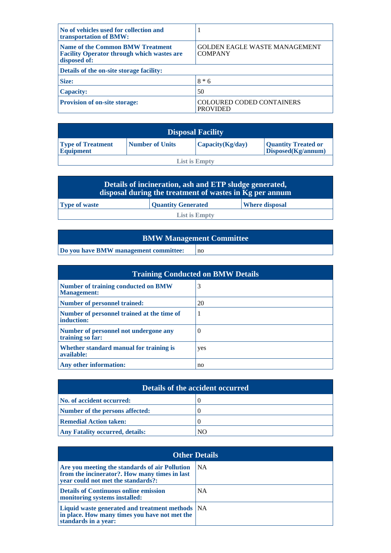| No of vehicles used for collection and<br>transportation of BMW:                                             | 1                                                      |  |
|--------------------------------------------------------------------------------------------------------------|--------------------------------------------------------|--|
| <b>Name of the Common BMW Treatment</b><br><b>Facility Operator through which wastes are</b><br>disposed of: | <b>GOLDEN EAGLE WASTE MANAGEMENT</b><br><b>COMPANY</b> |  |
| Details of the on-site storage facility:                                                                     |                                                        |  |
| Size:                                                                                                        | $8 * 6$                                                |  |
| <b>Capacity:</b>                                                                                             | 50                                                     |  |
| Provision of on-site storage:                                                                                | <b>COLOURED CODED CONTAINERS</b><br><b>PROVIDED</b>    |  |

| <b>Disposal Facility</b>                     |                        |                  |                                                  |
|----------------------------------------------|------------------------|------------------|--------------------------------------------------|
| <b>Type of Treatment</b><br><b>Equipment</b> | <b>Number of Units</b> | Capacity(Kg/day) | <b>Quantity Treated or</b><br>Disposed(Kg/annum) |
| <b>List is Empty</b>                         |                        |                  |                                                  |

| Details of incineration, ash and ETP sludge generated,<br>disposal during the treatment of wastes in Kg per annum |  |  |
|-------------------------------------------------------------------------------------------------------------------|--|--|
| <b>Type of waste</b><br>Quantity Generated<br><b>Where disposal</b>                                               |  |  |
| <b>List is Empty</b>                                                                                              |  |  |

| <b>BMW Management Committee</b>       |    |  |
|---------------------------------------|----|--|
| Do you have BMW management committee: | no |  |

| <b>Training Conducted on BMW Details</b>                         |          |  |
|------------------------------------------------------------------|----------|--|
| <b>Number of training conducted on BMW</b><br><b>Management:</b> | 3        |  |
| Number of personnel trained:                                     | 20       |  |
| Number of personnel trained at the time of<br>induction:         | 1        |  |
| Number of personnel not undergone any<br>training so far:        | $\theta$ |  |
| Whether standard manual for training is<br>available:            | yes      |  |
| Any other information:                                           | no       |  |

| <b>Details of the accident occurred</b> |    |  |
|-----------------------------------------|----|--|
| No. of accident occurred:               |    |  |
| Number of the persons affected:         |    |  |
| <b>Remedial Action taken:</b>           |    |  |
| <b>Any Fatality occurred, details:</b>  | NО |  |

| <b>Other Details</b>                                                                                                                  |           |
|---------------------------------------------------------------------------------------------------------------------------------------|-----------|
| Are you meeting the standards of air Pollution<br>from the incinerator?. How many times in last<br>vear could not met the standards?: | <b>NA</b> |
| <b>Details of Continuous online emission</b><br>monitoring systems installed:                                                         | <b>NA</b> |
| Liquid waste generated and treatment methods   NA<br>in place. How many times you have not met the<br>standards in a year:            |           |